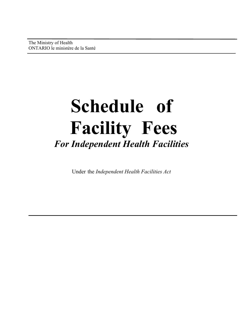The Ministry of Health ONTARIO le ministère de la Santé

1

# **Schedule of Facility Fees**  *For Independent Health Facilities*

Under the *Independent Health Facilities Act*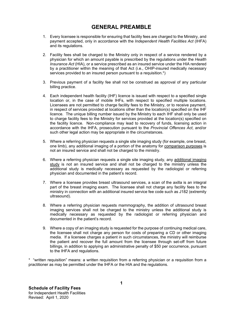## **GENERAL PREAMBLE**

- 1. Every licensee is responsible for ensuring that facility fees are charged to the Ministry, and payment accepted, only in accordance with the *Independent Health Facilities Act* (IHFA) and its regulations.
- 2. Facility fees shall be charged to the Ministry only in respect of a service rendered by a physician for which an amount payable is prescribed by the regulations under the *Health Insurance Act* (HIA), or a service prescribed as an insured service under the HIA rendered by a practitioner within the meaning of that Act (i.e., OHIP-insured medically necessary services provided to an insured person pursuant to a requisition.<sup>\*</sup>)
- 3. Previous payment of a facility fee shall not be construed as approval of any particular billing practice.
- 4. Each independent health facility (IHF) licence is issued with respect to a specified single location or, in the case of mobile IHFs, with respect to specified multiple locations. Licensees are not permitted to charge facility fees to the Ministry, or to receive payment, in respect of services provided at locations other than the location(s) specified on the IHF licence. The unique billing number issued by the Ministry to each IHF shall only be used to charge facility fees to the Ministry for services provided at the location(s) specified on the facility licence. Non-compliance may lead to recovery of funds, licensing action in accordance with the IHFA, prosecution pursuant to the *Provincial Offences Act*, and/or such other legal action may be appropriate in the circumstances.
- 5. Where a referring physician requests a single site imaging study (for example, one breast, one limb), any additional imaging of a portion of the anatomy for comparison purposes is not an insured service and shall not be charged to the ministry.
- 6. Where a referring physician requests a single site imaging study, any additional imaging study is not an insured service and shall not be charged to the ministry unless the additional study is medically necessary as requested by the radiologist or referring physician and documented in the patient's record.
- 7. Where a licensee provides breast ultrasound services, a scan of the axilla is an integral part of the breast imaging exam. The licensee shall not charge any facility fees to the ministry in connection with an additional insured service fee code such as J182 (extremity ultrasound).
- 8. Where a referring physician requests mammography, the addition of ultrasound breast imaging services shall not be charged to the ministry unless the additional study is medically necessary as requested by the radiologist or referring physician and documented in the patient's record.
- 9. Where a copy of an imaging study is requested for the purpose of continuing medical care, the licensee shall not charge any person for costs of preparing a CD or other imaging media. If a licensee charges a patient in such circumstances, the ministry will reimburse the patient and recover the full amount from the licensee through set-off from future billings, in addition to applying an administrative penalty of \$50 per occurrence, pursuant to the IHFA and regulations.

\* "written requisition" means: a written requisition from a referring physician or a requisition from a practitioner as may be permitted under the IHFA or the HIA and the regulations.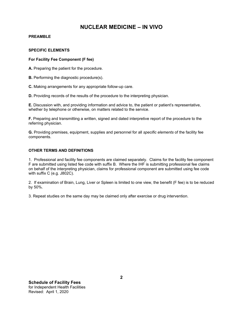#### **PREAMBLE**

#### **SPECIFIC ELEMENTS**

#### **For Facility Fee Component (F fee)**

**A.** Preparing the patient for the procedure.

**B.** Performing the diagnostic procedure(s).

**C.** Making arrangements for any appropriate follow-up care.

**D.** Providing records of the results of the procedure to the interpreting physician.

**E.** Discussion with, and providing information and advice to, the patient or patient's representative, whether by telephone or otherwise, on matters related to the service.

**F.** Preparing and transmitting a written, signed and dated interpretive report of the procedure to the referring physician.

**G.** Providing premises, equipment, supplies and personnel for all *specific elements* of the facility fee components.

#### **OTHER TERMS AND DEFINITIONS**

1. Professional and facility fee components are claimed separately. Claims for the facility fee component F are submitted using listed fee code with suffix B. Where the IHF is submitting professional fee claims on behalf of the interpreting physician, claims for professional component are submitted using fee code with suffix C (e.g. J802C).

2. If examination of Brain, Lung, Liver or Spleen is limited to one view, the benefit (F fee) is to be reduced by 50%.

3. Repeat studies on the same day may be claimed only after exercise or drug intervention.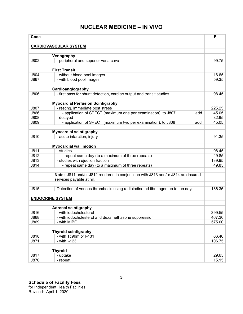| Code                    |                                                                                  | F      |
|-------------------------|----------------------------------------------------------------------------------|--------|
|                         |                                                                                  |        |
|                         | <b>CARDIOVASCULAR SYSTEM</b>                                                     |        |
|                         |                                                                                  |        |
| J802                    | Venography<br>- peripheral and superior vena cava                                | 99.75  |
|                         |                                                                                  |        |
|                         | <b>First Transit</b>                                                             |        |
| J804                    | - without blood pool images                                                      | 16.65  |
| J867                    | - with blood pool images                                                         | 59.35  |
|                         |                                                                                  |        |
|                         | Cardioangiography                                                                |        |
| J806                    | - first pass for shunt detection, cardiac output and transit studies             | 98.45  |
|                         |                                                                                  |        |
|                         | <b>Myocardial Perfusion Scintigraphy</b>                                         |        |
| J807                    | - resting, immediate post stress                                                 | 225.25 |
| J866                    | - application of SPECT (maximum one per examination), to J807<br>add             | 45.05  |
| J808                    | - delayed                                                                        | 82.95  |
| J809                    | - application of SPECT (maximum two per examination), to J808<br>add             | 45.05  |
|                         |                                                                                  |        |
|                         | <b>Myocardial scintigraphy</b>                                                   |        |
| J810                    | - acute infarction, injury                                                       | 91.35  |
|                         |                                                                                  |        |
|                         | <b>Myocardial wall motion</b>                                                    |        |
| J811                    | - studies                                                                        | 98.45  |
| J812                    | - repeat same day (to a maximum of three repeats)                                | 49.85  |
| J813                    | - studies with ejection fraction                                                 | 139.95 |
| J814                    | - repeat same day (to a maximum of three repeats)                                | 49.85  |
|                         | Note: J811 and/or J812 rendered in conjunction with J813 and/or J814 are insured |        |
|                         | services payable at nil.                                                         |        |
| J815                    | Detection of venous thrombosis using radioiodinated fibrinogen up to ten days    | 136.35 |
|                         |                                                                                  |        |
| <b>ENDOCRINE SYSTEM</b> |                                                                                  |        |
|                         |                                                                                  |        |
|                         | <b>Adrenal scintigraphy</b>                                                      |        |
| J816                    | - with iodocholesterol                                                           | 399.55 |
| J868                    | - with iodocholesterol and dexamethasone suppression                             | 467.30 |
| J869                    | - with MIBG                                                                      | 575.00 |
|                         |                                                                                  |        |
|                         | <b>Thyroid scintigraphy</b>                                                      |        |
| J818                    | - with Tc99m or I-131                                                            | 66.40  |
| J871                    | - with I-123                                                                     | 106.75 |
|                         |                                                                                  |        |
|                         | <b>Thyroid</b>                                                                   |        |
| J817                    | - uptake                                                                         | 29.65  |
| J870                    | - repeat                                                                         | 15.15  |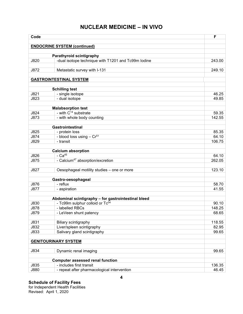| Code         |                                                     | F              |
|--------------|-----------------------------------------------------|----------------|
|              |                                                     |                |
|              | <b>ENDOCRINE SYSTEM (continued)</b>                 |                |
|              | Parathyroid scintigraphy                            |                |
| J820         | -dual isotope technique with T1201 and Tc99m lodine | 243.00         |
|              |                                                     |                |
| J872         | Metastatic survey with I-131                        | 249.10         |
|              | <b>GASTROINTESTINAL SYSTEM</b>                      |                |
|              |                                                     |                |
|              | <b>Schilling test</b>                               |                |
| J821         | - single isotope                                    | 46.25          |
| J823         | - dual isotope                                      | 49.85          |
|              |                                                     |                |
|              | <b>Malabsorption test</b>                           |                |
| J824         | - with $C^{14}$ substrate                           | 59.35          |
| J873         | - with whole body counting                          | 142.55         |
|              |                                                     |                |
| J825         | <b>Gastrointestinal</b><br>- protein loss           | 85.35          |
| J874         | - blood loss using - Cr <sup>51</sup>               | 64.10          |
| J829         | - transit                                           | 106.75         |
|              |                                                     |                |
|              | <b>Calcium absorption</b>                           |                |
| J826         | $-Ca45$                                             | 64.10          |
| J875         | - Calcium <sup>47</sup> absorption/excretion        | 262.05         |
|              |                                                     |                |
| J827         | Oesophageal motility studies - one or more          | 123.10         |
|              |                                                     |                |
|              | Gastro-oesophageal<br>- reflux                      |                |
| J876<br>J877 | - aspiration                                        | 58.70<br>41.55 |
|              |                                                     |                |
|              | Abdominal scintigraphy - for gastrointestinal bleed |                |
| J830         | - Tc99m sulphur colloid or Tc <sup>04</sup>         | 90.10          |
| J878         | - labelled RBCs                                     | 148.25         |
| J879         | - LeVeen shunt patency                              | 68.65          |
|              |                                                     |                |
| J831         | Biliary scintigraphy                                | 118.55         |
| J832         | Liver/spleen scintigraphy                           | 82.95          |
| J833         | Salivary gland scintigraphy                         | 99.65          |
|              |                                                     |                |
|              | <b>GENITOURINARY SYSTEM</b>                         |                |
| J834         | Dynamic renal imaging                               | 99.65          |
|              |                                                     |                |
|              | <b>Computer assessed renal function</b>             |                |
| J835         | - includes first transit                            | 136.35         |
| J880         | - repeat after pharmacological intervention         | 46.45          |

Revised: April 1, 2020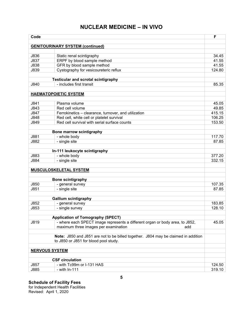| Code                  |                                                                                    | F      |
|-----------------------|------------------------------------------------------------------------------------|--------|
|                       |                                                                                    |        |
|                       | <b>GENITOURINARY SYSTEM (continued)</b>                                            |        |
|                       |                                                                                    |        |
| J836                  | Static renal scintigraphy                                                          | 34.45  |
| J837                  | ERPF by blood sample method                                                        | 41.55  |
| <b>J838</b>           | GFR by blood sample method                                                         | 41.55  |
| J839                  | Cystography for vesicoureteric reflux                                              | 124.80 |
|                       | <b>Testicular and scrotal scintigraphy</b>                                         |        |
| J840                  | - includes first transit                                                           | 85.35  |
|                       |                                                                                    |        |
|                       | <b>HAEMATOPOIETIC SYSTEM</b>                                                       |        |
|                       |                                                                                    |        |
| J841                  | Plasma volume                                                                      | 45.05  |
| J843                  | Red cell volume                                                                    | 49.85  |
| J847                  | Ferrokinetics - clearance, turnover, and utilization                               | 415.15 |
| J848                  | Red cell, white cell or platelet survival                                          | 106.25 |
| J849                  | Red cell survival with serial surface counts                                       | 153.50 |
|                       |                                                                                    |        |
|                       | Bone marrow scintigraphy                                                           |        |
| J881                  | - whole body                                                                       | 117.70 |
| J882                  | - single site                                                                      | 87.85  |
|                       |                                                                                    |        |
|                       | In-111 leukocyte scintigraphy                                                      |        |
| J883                  | - whole body                                                                       | 377.20 |
| J884                  | - single site                                                                      | 332.15 |
|                       |                                                                                    |        |
|                       | MUSCULOSKELETAL SYSTEM                                                             |        |
|                       |                                                                                    |        |
|                       | <b>Bone scintigraphy</b>                                                           |        |
| J850                  | - general survey                                                                   | 107.35 |
| J851                  | - single site                                                                      | 87.85  |
|                       |                                                                                    |        |
|                       | <b>Gallium scintigraphy</b>                                                        |        |
| J852                  | - general survey                                                                   | 183.85 |
| J853                  | - single survey                                                                    | 128.10 |
|                       |                                                                                    |        |
|                       | <b>Application of Tomography (SPECT)</b>                                           |        |
| J819                  | - where each SPECT image represents a different organ or body area, to J852,       | 45.05  |
|                       | maximum three images per examination<br>add                                        |        |
|                       |                                                                                    |        |
|                       | Note: J850 and J851 are not to be billed together. J804 may be claimed in addition |        |
|                       | to J850 or J851 for blood pool study.                                              |        |
| <b>NERVOUS SYSTEM</b> |                                                                                    |        |
|                       |                                                                                    |        |
|                       | <b>CSF</b> circulation                                                             |        |
| J857                  | - with Tc99m or I-131 HAS                                                          | 124.50 |
| J885                  | - with In-111                                                                      | 319.10 |
|                       |                                                                                    |        |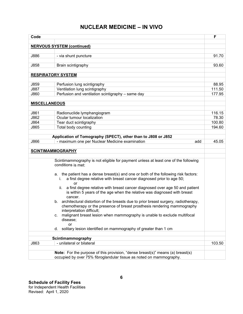| Code                 |                                                                                                                                                                                               | F      |
|----------------------|-----------------------------------------------------------------------------------------------------------------------------------------------------------------------------------------------|--------|
|                      |                                                                                                                                                                                               |        |
|                      | <b>NERVOUS SYSTEM (continued)</b>                                                                                                                                                             |        |
| J886                 | - via shunt puncture                                                                                                                                                                          | 91.70  |
|                      |                                                                                                                                                                                               |        |
| J858                 | Brain scintigraphy                                                                                                                                                                            | 93.60  |
|                      |                                                                                                                                                                                               |        |
|                      | <b>RESPIRATORY SYSTEM</b>                                                                                                                                                                     |        |
|                      |                                                                                                                                                                                               |        |
| J859                 | Perfusion lung scintigraphy                                                                                                                                                                   | 88.95  |
| J887                 | Ventilation lung scintigraphy                                                                                                                                                                 | 111.50 |
| J860                 | Perfusion and ventilation scintigraphy - same day                                                                                                                                             | 177.95 |
|                      |                                                                                                                                                                                               |        |
| <b>MISCELLANEOUS</b> |                                                                                                                                                                                               |        |
| J861                 | Radionuclide lymphangiogram                                                                                                                                                                   | 116.15 |
| J862                 | Ocular tumour localization                                                                                                                                                                    | 78.30  |
| J864                 | Tear duct scintigraphy                                                                                                                                                                        | 100.80 |
| J865                 | Total body counting                                                                                                                                                                           | 194.60 |
|                      |                                                                                                                                                                                               |        |
|                      | Application of Tomography (SPECT), other than to J808 or J852                                                                                                                                 |        |
| J866                 | - maximum one per Nuclear Medicine examination<br>add                                                                                                                                         | 45.05  |
|                      |                                                                                                                                                                                               |        |
|                      | <b>SCINTIMAMMOGRAPHY</b>                                                                                                                                                                      |        |
|                      | Scintimammography is not eligible for payment unless at least one of the following<br>conditions is met:                                                                                      |        |
|                      | a. the patient has a dense breast(s) and one or both of the following risk factors:<br>a first degree relative with breast cancer diagnosed prior to age 50;<br>i.<br>or                      |        |
|                      | a first degree relative with breast cancer diagnosed over age 50 and patient<br>ii.<br>is within 5 years of the age when the relative was diagnosed with breast<br>cancer.                    |        |
|                      | b. architectural distortion of the breasts due to prior breast surgery, radiotherapy,<br>chemotherapy or the presence of breast prosthesis rendering mammography<br>interpretation difficult; |        |
|                      | malignant breast lesion when mammography is unable to exclude multifocal<br>C.<br>disease;<br><b>or</b>                                                                                       |        |
|                      | solitary lesion identified on mammography of greater than 1 cm<br>d.                                                                                                                          |        |
|                      |                                                                                                                                                                                               |        |
| J863                 | Scintimammography<br>- unilateral or bilateral                                                                                                                                                | 103.50 |
|                      |                                                                                                                                                                                               |        |
|                      | <b>Note:</b> For the purpose of this provision, "dense breast(s)" means (a) breast(s)<br>occupied by over 75% fibroglandular tissue as noted on mammography.                                  |        |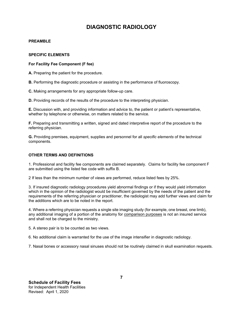#### **PREAMBLE**

#### **SPECIFIC ELEMENTS**

#### **For Facility Fee Component (F fee)**

**A.** Preparing the patient for the procedure.

**B.** Performing the diagnostic procedure or assisting in the performance of fluoroscopy.

**C.** Making arrangements for any appropriate follow-up care.

**D.** Providing records of the results of the procedure to the interpreting physician.

**E.** Discussion with, and providing information and advice to, the patient or patient's representative, whether by telephone or otherwise, on matters related to the service.

**F.** Preparing and transmitting a written, signed and dated interpretive report of the procedure to the referring physician.

**G.** Providing premises, equipment, supplies and personnel for all *specific elements* of the technical components.

#### **OTHER TERMS AND DEFINITIONS**

1. Professional and facility fee components are claimed separately. Claims for facility fee component F are submitted using the listed fee code with suffix B.

2 If less than the minimum number of views are performed, reduce listed fees by 25%.

3. If insured diagnostic radiology procedures yield abnormal findings or if they would yield information which in the opinion of the radiologist would be insufficient governed by the needs of the patient and the requirements of the referring physician or practitioner, the radiologist may add further views and claim for the additions which are to be noted in the report.

 4. Where a referring physician requests a single site imaging study (for example, one breast, one limb), any additional imaging of a portion of the anatomy for <u>comparison purposes</u> is not an insured service and shall not be charged to the ministry.

5. A stereo pair is to be counted as two views.

6. No additional claim is warranted for the use of the image intensifier in diagnostic radiology.

7. Nasal bones or accessory nasal sinuses should not be routinely claimed in skull examination requests.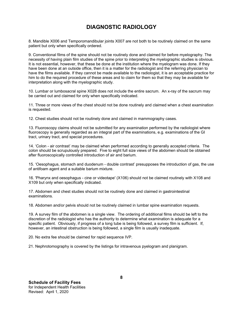8. Mandible X006 and Temporomandibular joints X007 are not both to be routinely claimed on the same patient but only when specifically ordered.

 9. Conventional films of the spine should not be routinely done and claimed for before myelography. The necessity of having plain film studies of the spine prior to interpreting the myelographic studies is obvious. It is not essential, however, that these be done at the institution where the myelogram was done. If they have been done at an outside office, then it is a matter for the radiologist and the referring physician to have the films available. If they cannot be made available to the radiologist, it is an acceptable practice for him to do the required procedure of these areas and to claim for them so that they may be available for interpretation along with the myelographic study.

10. Lumbar or lumbosacral spine X028 does not include the entire sacrum. An x-ray of the sacrum may be carried out and claimed for only when specifically indicated.

11. Three or more views of the chest should not be done routinely and claimed when a chest examination is requested.

12. Chest studies should not be routinely done and claimed in mammography cases.

13. Fluoroscopy claims should not be submitted for any examination performed by the radiologist where fluoroscopy is generally regarded as an integral part of the examinations, e.g. examinations of the GI tract, urinary tract, and special procedures.

14. 'Colon - air contrast' may be claimed when performed according to generally accepted criteria. The colon should be scrupulously prepared. Five to eight full size views of the abdomen should be obtained after fluoroscopically controlled introduction of air and barium.

15. 'Oesophagus, stomach and duodenum - double contrast' presupposes the introduction of gas, the use of antifoam agent and a suitable barium mixture.

16. 'Pharynx and oesophagus - cine or videotape' (X106) should not be claimed routinely with X108 and X109 but only when specifically indicated.

17. Abdomen and chest studies should not be routinely done and claimed in gastrointestinal examinations.

18. Abdomen and/or pelvis should not be routinely claimed in lumbar spine examination requests.

19. A survey film of the abdomen is a single view. The ordering of additional films should be left to the discretion of the radiologist who has the authority to determine what examination is adequate for a specific patient. Obviously, if progress of a long tube is being followed, a survey film is sufficient. If, however, an intestinal obstruction is being followed, a single film is usually inadequate.

20. No extra fee should be claimed for rapid sequence IVP.

21. Nephrotomography is covered by the listings for intravenous pyelogram and planigram.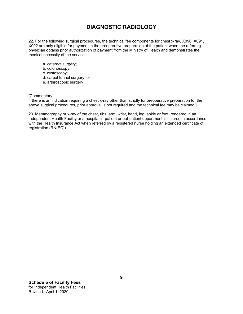22. For the following surgical procedures, the technical fee components for chest x-ray, X090, X091, X092 are only eligible for payment in the preoperative preparation of the patient when the referring physician obtains prior authorization of payment from the Ministry of Health and demonstrates the medical necessity of the service:

- a. cataract surgery;
- b. colonoscopy;
- c. cystoscopy;
- d. carpal tunnel surgery; or
- e. arthroscopic surgery.

[Commentary:

If there is an indication requiring a chest x-ray other than strictly for preoperative preparation for the above surgical procedures, prior approval is not required and the technical fee may be claimed.]

23. Mammography or x-ray of the chest, ribs, arm, wrist, hand, leg, ankle or foot, rendered in an Independent Health Facility or a hospital in-patient or out-patient department is insured in accordance with the Health Insurance Act when referred by a registered nurse holding an extended certificate of registration (RN(EC)).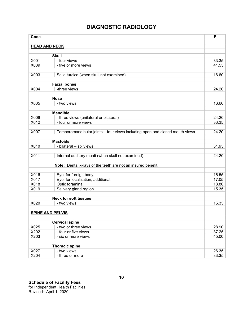| Code                    |                                                                             | F     |
|-------------------------|-----------------------------------------------------------------------------|-------|
|                         |                                                                             |       |
| <b>HEAD AND NECK</b>    |                                                                             |       |
|                         | <b>Skull</b>                                                                |       |
| X001                    | - four views                                                                | 33.35 |
| X009                    | - five or more views                                                        | 41.55 |
|                         |                                                                             |       |
| X003                    | Sella turcica (when skull not examined)                                     | 16.60 |
|                         |                                                                             |       |
|                         | <b>Facial bones</b>                                                         |       |
| X004                    | -three views                                                                | 24.20 |
|                         | <b>Nose</b>                                                                 |       |
| X005                    | - two views                                                                 | 16.60 |
|                         |                                                                             |       |
|                         | <b>Mandible</b>                                                             |       |
| X006                    | - three views (unilateral or bilateral)                                     | 24.20 |
| X012                    | - four or more views                                                        | 33.35 |
|                         |                                                                             |       |
| X007                    | Temporomandibular joints - four views including open and closed mouth views | 24.20 |
|                         |                                                                             |       |
|                         | <b>Mastoids</b>                                                             |       |
| X010                    | - bilateral - six views                                                     | 31.95 |
| X011                    | Internal auditory meati (when skull not examined)                           | 24.20 |
|                         |                                                                             |       |
|                         | Note: Dental x-rays of the teeth are not an insured benefit.                |       |
|                         |                                                                             |       |
| X016                    | Eye, for foreign body                                                       | 16.55 |
| X017                    | Eye, for localization, additional                                           | 17.05 |
| X018                    | Optic foramina                                                              | 18.80 |
| X019                    | Salivary gland region                                                       | 15.35 |
|                         |                                                                             |       |
|                         | <b>Neck for soft tissues</b>                                                |       |
| X020                    | - two views                                                                 | 15.35 |
| <b>SPINE AND PELVIS</b> |                                                                             |       |
|                         |                                                                             |       |
|                         | <b>Cervical spine</b>                                                       |       |
| X025                    | - two or three views                                                        | 28.90 |
| X202                    | - four or five views                                                        | 37.25 |
| X203                    | - six or more views                                                         | 45.00 |
|                         |                                                                             |       |
|                         | <b>Thoracic spine</b>                                                       |       |
| X027                    | - two views                                                                 | 26.35 |
| X204                    | - three or more                                                             | 33.35 |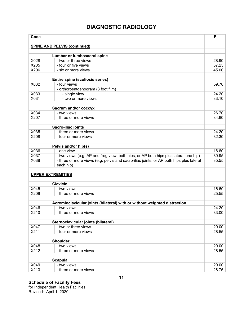| Code                     |                                                                                         | F     |
|--------------------------|-----------------------------------------------------------------------------------------|-------|
|                          |                                                                                         |       |
|                          | <b>SPINE AND PELVIS (continued)</b>                                                     |       |
|                          |                                                                                         |       |
| X028                     | Lumbar or lumbosacral spine<br>- two or three views                                     | 28.90 |
| X205                     | - four or five views                                                                    | 37.25 |
| X206                     | - six or more views                                                                     | 45.00 |
|                          |                                                                                         |       |
|                          | Entire spine (scoliosis series)                                                         |       |
| X032                     | - four views                                                                            | 59.70 |
|                          | - orthoroentgenogram (3 foot film)                                                      |       |
| X033                     | - single view                                                                           | 24.20 |
| X031                     | - two or more views                                                                     | 33.10 |
|                          |                                                                                         |       |
|                          | Sacrum and/or coccyx                                                                    |       |
| X034                     | - two views                                                                             | 26.70 |
| X207                     | - three or more views                                                                   | 34.60 |
|                          |                                                                                         |       |
|                          | Sacro-iliac joints                                                                      |       |
| X035                     | - three or more views                                                                   | 24.20 |
| X208                     | - four or more views                                                                    | 32.30 |
|                          |                                                                                         |       |
|                          | Pelvis and/or hip(s)                                                                    |       |
| X036                     | - one view                                                                              | 16.60 |
| X037                     | - two views (e.g. AP and frog view, both hips, or AP both hips plus lateral one hip)    | 30.95 |
| X038                     | - three or more views (e.g. pelvis and sacro-iliac joints, or AP both hips plus lateral | 35.55 |
|                          | each hip)                                                                               |       |
|                          |                                                                                         |       |
| <b>UPPER EXTREMITIES</b> |                                                                                         |       |
|                          | <b>Clavicle</b>                                                                         |       |
| X045                     | - two views                                                                             | 16.60 |
| X209                     |                                                                                         | 25.55 |
|                          | - three or more views                                                                   |       |
|                          | Acromioclavicular joints (bilateral) with or without weighted distraction               |       |
| X046                     | - two views                                                                             | 24.20 |
| X210                     | - three or more views                                                                   | 33.00 |
|                          |                                                                                         |       |
|                          | Sternoclavicular joints (bilateral)                                                     |       |
| X047                     | - two or three views                                                                    | 20.00 |
| X211                     | - four or more views                                                                    | 28.55 |
|                          |                                                                                         |       |
|                          | Shoulder                                                                                |       |
| X048                     | - two views                                                                             | 20.00 |
| X212                     | - three or more views                                                                   | 28.55 |
|                          |                                                                                         |       |
|                          | <b>Scapula</b>                                                                          |       |
| X049                     | - two views                                                                             | 20.00 |
| X213                     | - three or more views                                                                   | 28.75 |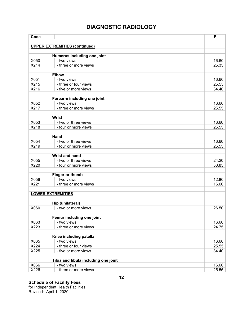| Code                     |                                            | F     |
|--------------------------|--------------------------------------------|-------|
|                          |                                            |       |
|                          | <b>UPPER EXTREMITIES (continued)</b>       |       |
|                          | Humerus including one joint                |       |
| X050                     | - two views                                | 16.60 |
| X214                     | - three or more views                      | 25.35 |
|                          |                                            |       |
|                          | <b>Elbow</b>                               |       |
| X051                     | - two views                                | 16.60 |
| X215                     | - three or four views                      | 25.55 |
| X216                     | - five or more views                       | 34.40 |
|                          |                                            |       |
| X052                     | Forearm including one joint<br>- two views | 16.60 |
| X217                     | - three or more views                      | 25.55 |
|                          |                                            |       |
|                          | <b>Wrist</b>                               |       |
| X053                     | - two or three views                       | 16.60 |
| X218                     | - four or more views                       | 25.55 |
|                          |                                            |       |
|                          | Hand                                       |       |
| X054                     | - two or three views                       | 16.60 |
| X219                     | - four or more views                       | 25.55 |
|                          | <b>Wrist and hand</b>                      |       |
| X055                     | - two or three views                       | 24.20 |
| X220                     | - four or more views                       | 30.85 |
|                          |                                            |       |
|                          | Finger or thumb                            |       |
| X056                     | - two views                                | 12.80 |
| X221                     | - three or more views                      | 16.60 |
|                          |                                            |       |
| <b>LOWER EXTREMITIES</b> |                                            |       |
|                          | Hip (unilateral)                           |       |
| X060                     | - two or more views                        | 26.50 |
|                          |                                            |       |
|                          | Femur including one joint                  |       |
| X063                     | - two views                                | 16.60 |
| X223                     | - three or more views                      | 24.75 |
|                          |                                            |       |
|                          | Knee including patella                     |       |
| X065                     | - two views                                | 16.60 |
| X224                     | - three or four views                      | 25.55 |
| X225                     | - five or more views                       | 34.40 |
|                          | Tibia and fibula including one joint       |       |
| X066                     | - two views                                | 16.60 |
| X226                     | - three or more views                      | 25.55 |
|                          |                                            |       |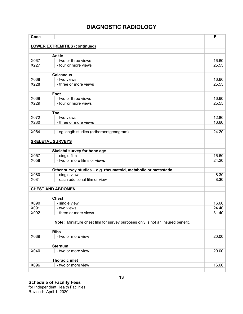| Code                     |                                                                                  | F     |
|--------------------------|----------------------------------------------------------------------------------|-------|
|                          |                                                                                  |       |
|                          | <b>LOWER EXTREMITIES (continued)</b>                                             |       |
|                          | <b>Ankle</b>                                                                     |       |
| X067                     | - two or three views                                                             | 16.60 |
| X227                     | - four or more views                                                             | 25.55 |
|                          |                                                                                  |       |
|                          | <b>Calcaneus</b>                                                                 |       |
| X068                     | - two views                                                                      | 16.60 |
| X228                     | - three or more views                                                            | 25.55 |
|                          |                                                                                  |       |
|                          | Foot                                                                             |       |
| X069                     | - two or three views                                                             | 16.60 |
| X229                     | - four or more views                                                             | 25.55 |
|                          | <b>Toe</b>                                                                       |       |
| X072                     | - two views                                                                      | 12.80 |
| X230                     | - three or more views                                                            | 16.60 |
|                          |                                                                                  |       |
| X064                     | Leg length studies (orthoroentgenogram)                                          | 24.20 |
|                          |                                                                                  |       |
| <b>SKELETAL SURVEYS</b>  |                                                                                  |       |
|                          |                                                                                  |       |
|                          | Skeletal survey for bone age                                                     |       |
| X057                     | - single film                                                                    | 16.60 |
| X058                     | - two or more films or views                                                     | 24.20 |
|                          |                                                                                  |       |
| X080                     | Other survey studies - e.g. rheumatoid, metabolic or metastatic<br>- single view | 8.30  |
| X081                     | - each additional film or view                                                   | 8.30  |
|                          |                                                                                  |       |
| <b>CHEST AND ABDOMEN</b> |                                                                                  |       |
|                          |                                                                                  |       |
|                          | <b>Chest</b>                                                                     |       |
| X090                     | - single view                                                                    | 16.60 |
| X091                     | - two views                                                                      | 24.40 |
| X092                     | - three or more views                                                            | 31.40 |
|                          |                                                                                  |       |
|                          | Note: Miniature chest film for survey purposes only is not an insured benefit.   |       |
|                          |                                                                                  |       |
| X039                     | <b>Ribs</b>                                                                      | 20.00 |
|                          | - two or more view                                                               |       |
|                          | <b>Sternum</b>                                                                   |       |
| X040                     | - two or more view                                                               | 20.00 |
|                          |                                                                                  |       |
|                          | <b>Thoracic inlet</b>                                                            |       |
| X096                     | - two or more view                                                               | 16.60 |
|                          |                                                                                  |       |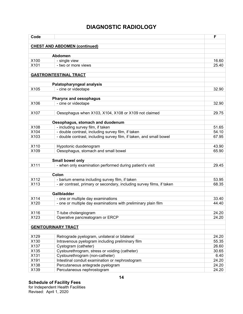| Code |                                                                        | F     |
|------|------------------------------------------------------------------------|-------|
|      |                                                                        |       |
|      | <b>CHEST AND ABDOMEN (continued)</b>                                   |       |
|      | <b>Abdomen</b>                                                         |       |
| X100 | - single view                                                          | 16.60 |
| X101 | - two or more views                                                    | 25.40 |
|      |                                                                        |       |
|      | <b>GASTROINTESTINAL TRACT</b>                                          |       |
|      | Palatopharyngeal analysis                                              |       |
| X105 | - cine or videotape                                                    | 32.90 |
|      |                                                                        |       |
|      | Pharynx and oesophagus                                                 |       |
| X106 | - cine or videotape                                                    | 32.90 |
|      |                                                                        |       |
| X107 | Oesophagus when X103, X104, X108 or X109 not claimed                   | 29.75 |
|      |                                                                        |       |
|      | Oesophagus, stomach and duodenum                                       |       |
| X108 | - including survey film, if taken                                      | 51.65 |
| X104 | - double contrast, including survey film, if taken                     | 54.10 |
| X103 | - double contrast, including survey film, if taken, and small bowel    | 67.95 |
|      |                                                                        |       |
| X110 | Hypotonic duodenogram                                                  | 43.90 |
| X109 | Oesophagus, stomach and small bowel                                    | 65.90 |
|      | Small bowel only                                                       |       |
| X111 | - when only examination performed during patient's visit               | 29.45 |
|      |                                                                        |       |
|      | Colon                                                                  |       |
| X112 | - barium enema including survey film, if taken                         | 53.95 |
| X113 | - air contrast, primary or secondary, including survey films, if taken | 68.35 |
|      |                                                                        |       |
|      | <b>Gallbladder</b>                                                     |       |
| X114 | - one or multiple day examinations                                     | 33.40 |
| X120 | - one or multiple day examinations with preliminary plain film         | 44.40 |
|      |                                                                        |       |
| X116 | T-tube cholangiogram                                                   | 24.20 |
| X123 | Operative pancreatogram or ERCP                                        | 24.20 |
|      |                                                                        |       |
|      | <b>GENITOURINARY TRACT</b>                                             |       |
|      |                                                                        |       |
| X129 | Retrograde pyelogram, unilateral or bilateral                          | 24.20 |
| X130 | Intravenous pyelogram including preliminary film                       | 55.35 |
| X137 | Cystogram (catheter)                                                   | 26.60 |
| X135 | Cystourethrogram, stress or voiding (catheter)                         | 30.65 |
| X131 | Cystourethrogram (non-catheter)                                        | 6.40  |
| X191 | Intestinal conduit examination or nephrostogram                        | 24.20 |
| X138 | Percutaneous antegrade pyelogram                                       | 24.20 |
| X139 | Percutaneous nephrostogram                                             | 24.20 |
|      |                                                                        |       |

for Independent Health Facilities Revised: April 1, 2020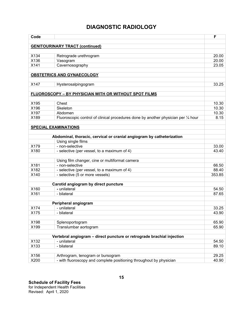| Code |                                                                                    | F      |
|------|------------------------------------------------------------------------------------|--------|
|      |                                                                                    |        |
|      | <b>GENITOURINARY TRACT (continued)</b>                                             |        |
| X134 | Retrograde urethrogram                                                             | 20.00  |
| X136 | Vasogram                                                                           | 20.00  |
| X141 | Cavernosography                                                                    | 23.05  |
|      |                                                                                    |        |
|      | OBSTETRICS AND GYNAECOLOGY                                                         |        |
|      |                                                                                    |        |
| X147 | Hysterosalpingogram                                                                | 33.25  |
|      | FLUOROSCOPY - BY PHYSICIAN WITH OR WITHOUT SPOT FILMS                              |        |
|      |                                                                                    |        |
| X195 | Chest                                                                              | 10.30  |
| X196 | Skeleton                                                                           | 10.30  |
| X197 | Abdomen                                                                            | 10.30  |
| X189 | Fluoroscopic control of clinical procedures done by another physician per 1/4 hour | 8.15   |
|      |                                                                                    |        |
|      | <b>SPECIAL EXAMINATIONS</b>                                                        |        |
|      | Abdominal, thoracic, cervical or cranial angiogram by catheterization              |        |
|      | Using single films                                                                 |        |
| X179 | - non-selective                                                                    | 33.00  |
| X180 | - selective (per vessel, to a maximum of 4)                                        | 43.40  |
|      |                                                                                    |        |
|      | Using film changer, cine or multiformat camera                                     |        |
| X181 | - non-selective                                                                    | 66.50  |
| X182 | - selective (per vessel, to a maximum of 4)                                        | 88.40  |
| X140 | - selective (5 or more vessels)                                                    | 353.85 |
|      |                                                                                    |        |
| X160 | Carotid angiogram by direct puncture<br>- unilateral                               | 54.50  |
| X161 | - bilateral                                                                        | 87.65  |
|      |                                                                                    |        |
|      | Peripheral angiogram                                                               |        |
| X174 | - unilateral                                                                       | 33.25  |
| X175 | - bilateral                                                                        | 43.90  |
|      |                                                                                    |        |
| X198 | Splenoportogram                                                                    | 65.90  |
| X199 | Translumbar aortogram                                                              | 65.90  |
|      | Vertebral angiogram - direct puncture or retrograde brachial injection             |        |
| X132 | - unilateral                                                                       | 54.50  |
| X133 | - bilateral                                                                        | 89.10  |
|      |                                                                                    |        |
| X156 | Arthrogram, tenogram or bursogram                                                  | 29.25  |
| X200 | - with fluoroscopy and complete positioning throughout by physician                | 40.90  |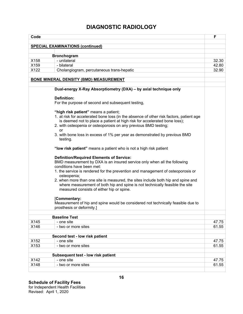| Code |                                                                                                                                                                                                                                             | F     |
|------|---------------------------------------------------------------------------------------------------------------------------------------------------------------------------------------------------------------------------------------------|-------|
|      |                                                                                                                                                                                                                                             |       |
|      | <b>SPECIAL EXAMINATIONS (continued)</b>                                                                                                                                                                                                     |       |
|      | <b>Bronchogram</b>                                                                                                                                                                                                                          |       |
| X158 | - unilateral                                                                                                                                                                                                                                | 32.30 |
| X159 | - bilateral                                                                                                                                                                                                                                 | 42.80 |
| X122 | Cholangiogram, percutaneous trans-hepatic                                                                                                                                                                                                   | 32.90 |
|      | <b>BONE MINERAL DENSITY (BMD) MEASUREMENT</b>                                                                                                                                                                                               |       |
|      | Dual-energy X-Ray Absorptiometry (DXA) - by axial technique only                                                                                                                                                                            |       |
|      | <b>Definition:</b>                                                                                                                                                                                                                          |       |
|      | For the purpose of second and subsequent testing,                                                                                                                                                                                           |       |
|      | "high risk patient" means a patient;                                                                                                                                                                                                        |       |
|      | 1. at risk for accelerated bone loss (in the absence of other risk factors, patient age                                                                                                                                                     |       |
|      | is deemed not to place a patient at high risk for accelerated bone loss);                                                                                                                                                                   |       |
|      | 2. with osteopenia or osteoporosis on any previous BMD testing;<br>or                                                                                                                                                                       |       |
|      | 3. with bone loss in excess of 1% per year as demonstrated by previous BMD<br>testing.                                                                                                                                                      |       |
|      | "low risk patient" means a patient who is not a high risk patient                                                                                                                                                                           |       |
|      | <b>Definition/Required Elements of Service:</b><br>BMD measurement by DXA is an insured service only when all the following<br>conditions have been met:<br>1. the service is rendered for the prevention and management of osteoporosis or |       |
|      | osteopenia;                                                                                                                                                                                                                                 |       |
|      | 2. when more than one site is measured, the sites include both hip and spine and<br>where measurement of both hip and spine is not technically feasible the site<br>measured consists of either hip or spine.                               |       |
|      | [Commentary:<br>Measurement of hip and spine would be considered not technically feasible due to<br>prosthesis or deformity.]                                                                                                               |       |
|      | <b>Baseline Test</b>                                                                                                                                                                                                                        |       |
| X145 | - one site                                                                                                                                                                                                                                  | 47.75 |
| X146 | - two or more sites                                                                                                                                                                                                                         | 61.55 |
|      | Second test - low risk patient                                                                                                                                                                                                              |       |
| X152 | - one site                                                                                                                                                                                                                                  | 47.75 |
| X153 | - two or more sites                                                                                                                                                                                                                         | 61.55 |
|      | Subsequent test - low risk patient                                                                                                                                                                                                          |       |
| X142 | - one site                                                                                                                                                                                                                                  | 47.75 |
| X148 | - two or more sites                                                                                                                                                                                                                         | 61.55 |
|      |                                                                                                                                                                                                                                             |       |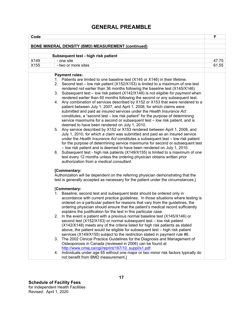## **GENERAL PREAMBLE**

| Code                                                                                                                                                                                                                                                                                                                                                                                                                                                                                                                                                                                                                                                                                                                                                                                                                                                                                                                                                                                                                                                                                                                                                                                                                                                                                                                                                                                                                                                                                                                                                 | F     |
|------------------------------------------------------------------------------------------------------------------------------------------------------------------------------------------------------------------------------------------------------------------------------------------------------------------------------------------------------------------------------------------------------------------------------------------------------------------------------------------------------------------------------------------------------------------------------------------------------------------------------------------------------------------------------------------------------------------------------------------------------------------------------------------------------------------------------------------------------------------------------------------------------------------------------------------------------------------------------------------------------------------------------------------------------------------------------------------------------------------------------------------------------------------------------------------------------------------------------------------------------------------------------------------------------------------------------------------------------------------------------------------------------------------------------------------------------------------------------------------------------------------------------------------------------|-------|
|                                                                                                                                                                                                                                                                                                                                                                                                                                                                                                                                                                                                                                                                                                                                                                                                                                                                                                                                                                                                                                                                                                                                                                                                                                                                                                                                                                                                                                                                                                                                                      |       |
| <b>BONE MINERAL DENSITY (BMD) MEASUREMENT (continued)</b>                                                                                                                                                                                                                                                                                                                                                                                                                                                                                                                                                                                                                                                                                                                                                                                                                                                                                                                                                                                                                                                                                                                                                                                                                                                                                                                                                                                                                                                                                            |       |
| Subsequent test - high risk patient                                                                                                                                                                                                                                                                                                                                                                                                                                                                                                                                                                                                                                                                                                                                                                                                                                                                                                                                                                                                                                                                                                                                                                                                                                                                                                                                                                                                                                                                                                                  |       |
| X149<br>- one site                                                                                                                                                                                                                                                                                                                                                                                                                                                                                                                                                                                                                                                                                                                                                                                                                                                                                                                                                                                                                                                                                                                                                                                                                                                                                                                                                                                                                                                                                                                                   | 47.75 |
| X155<br>- two or more sites                                                                                                                                                                                                                                                                                                                                                                                                                                                                                                                                                                                                                                                                                                                                                                                                                                                                                                                                                                                                                                                                                                                                                                                                                                                                                                                                                                                                                                                                                                                          | 61.55 |
|                                                                                                                                                                                                                                                                                                                                                                                                                                                                                                                                                                                                                                                                                                                                                                                                                                                                                                                                                                                                                                                                                                                                                                                                                                                                                                                                                                                                                                                                                                                                                      |       |
| <b>Payment rules:</b><br>1. Patients are limited to one baseline test (X145 or X146) in their lifetime.<br>Second test – low risk patient (X152/X153) is limited to a maximum of one test<br>2.<br>rendered not earlier than 36 months following the baseline test (X145/X146).<br>Subsequent test - low risk patient (X142/X148) is not eligible for payment when<br>3.<br>rendered earlier than 60 months following the second or any subsequent test.<br>Any combination of services described by X152 or X153 that were rendered to a<br>4.<br>patient between July 1, 2007, and April 1, 2008, for which claims were<br>submitted and paid as insured services under the Health Insurance Act<br>constitutes, a "second test - low risk patient" for the purpose of determining<br>service maximums for a second or subsequent test - low risk patient, and is<br>deemed to have been rendered on July 1, 2010.<br>5. Any service described by X152 or X153 rendered between April 1, 2008, and<br>July 1, 2010, for which a claim was submitted and paid as an insured service<br>under the Health Insurance Act constitutes a subsequent test - low risk patient<br>for the purpose of determining service maximums for second or subsequent test<br>- low risk patient and is deemed to have been rendered on July 1, 2010.<br>Subsequent test - high risk patients (X149/X155) is limited to a maximum of one<br>6.<br>test every 12 months unless the ordering physician obtains written prior<br>authorization from a medical consultant. |       |
| [Commentary:<br>Authorization will be dependent on the referring physician demonstrating that the<br>test is generally accepted as necessary for the patient under the circumstances.}<br>[Commentary:                                                                                                                                                                                                                                                                                                                                                                                                                                                                                                                                                                                                                                                                                                                                                                                                                                                                                                                                                                                                                                                                                                                                                                                                                                                                                                                                               |       |
| Baseline, second test and subsequent tests should be ordered only in<br>1.<br>accordance with current practice guidelines. In those situations where testing is<br>ordered on a particular patient for reasons that vary from the guidelines, the<br>ordering physician should ensure that the patient's medical record sufficiently<br>explains the justification for the test in this particular case.<br>In the event a patient with a previous normal baseline test (X145/X146) or<br>2.<br>second test (X152/X153) or normal subsequent test - low risk patient<br>(X142/X148) meets any of the criteria listed for high risk patients as stated<br>above, the patient would be eligible for subsequent test - high risk patient<br>services (X149/X155) subject to the restriction stated in payment rule #6.<br>The 2002 Clinical Practice Guidelines for the Diagnosis and Management of<br>3.<br>Osteoporosis in Canada (reviewed in 2006) can be found at<br>http://www.cmaj.ca/cgi/reprint/167/10 suppl/s1.pdf.<br>Individuals under age 65 without one major or two minor risk factors typically do<br>4.<br>not benefit from BMD measurement.]                                                                                                                                                                                                                                                                                                                                                                                          |       |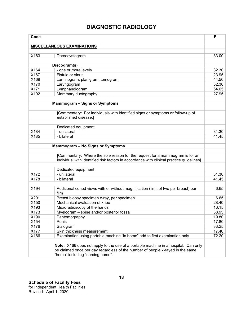| Code |                                                                                                         | F     |
|------|---------------------------------------------------------------------------------------------------------|-------|
|      |                                                                                                         |       |
|      | <b>MISCELLANEOUS EXAMINATIONS</b>                                                                       |       |
| X163 | Dacrocystogram                                                                                          | 33.00 |
|      |                                                                                                         |       |
|      | Discogram(s)                                                                                            |       |
| X164 | - one or more levels                                                                                    | 32.30 |
| X167 | Fistula or sinus                                                                                        | 23.95 |
| X169 | Laminogram, planigram, tomogram                                                                         | 44.50 |
| X170 | Laryngogram                                                                                             | 32.30 |
| X171 | Lymphangiogram                                                                                          | 54.65 |
| X192 | Mammary ductography                                                                                     | 27.95 |
|      |                                                                                                         |       |
|      | <b>Mammogram - Signs or Symptoms</b>                                                                    |       |
|      |                                                                                                         |       |
|      | [Commentary: For individuals with identified signs or symptoms or follow-up of<br>established disease.] |       |
|      |                                                                                                         |       |
|      | Dedicated equipment                                                                                     |       |
| X184 | - unilateral                                                                                            | 31.30 |
| X185 | - bilateral                                                                                             | 41.45 |
|      |                                                                                                         |       |
|      | Mammogram - No Signs or Symptoms                                                                        |       |
|      |                                                                                                         |       |
|      | [Commentary: Where the sole reason for the request for a mammogram is for an                            |       |
|      | individual with identified risk factors in accordance with clinical practice guidelines]                |       |
|      |                                                                                                         |       |
| X172 | Dedicated equipment<br>- unilateral                                                                     | 31.30 |
| X178 | - bilateral                                                                                             | 41.45 |
|      |                                                                                                         |       |
| X194 | Additional coned views with or without magnification (limit of two per breast) per                      | 6.65  |
|      | film                                                                                                    |       |
| X201 | Breast biopsy specimen x-ray, per specimen                                                              | 6.65  |
| X150 | Mechanical evaluation of knee                                                                           | 28.40 |
| X193 | Microradioscopy of the hands                                                                            | 16.15 |
| X173 | Myelogram - spine and/or posterior fossa                                                                | 38.95 |
| X190 | Pantomography                                                                                           | 19.80 |
| X154 | Penis                                                                                                   | 17.80 |
| X176 | Sialogram                                                                                               | 33.25 |
| X177 | Skin thickness measurement                                                                              | 17.40 |
| X166 | Examination using portable machine "in home" add to first examination only                              | 72.20 |
|      |                                                                                                         |       |
|      | Note: X166 does not apply to the use of a portable machine in a hospital. Can only                      |       |
|      | be claimed once per day regardless of the number of people x-rayed in the same                          |       |
|      | "home" including "nursing home".                                                                        |       |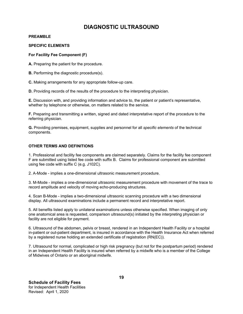#### **PREAMBLE**

#### **SPECIFIC ELEMENTS**

#### **For Facility Fee Component (F)**

**A.** Preparing the patient for the procedure.

**B.** Performing the diagnostic procedure(s).

**C.** Making arrangements for any appropriate follow-up care.

**D.** Providing records of the results of the procedure to the interpreting physician.

**E.** Discussion with, and providing information and advice to, the patient or patient's representative, whether by telephone or otherwise, on matters related to the service.

**F.** Preparing and transmitting a written, signed and dated interpretative report of the procedure to the referring physician.

**G.** Providing premises, equipment, supplies and personnel for all *specific elements* of the technical components.

#### **OTHER TERMS AND DEFINITIONS**

1. Professional and facility fee components are claimed separately. Claims for the facility fee component F are submitted using listed fee code with suffix B. Claims for professional component are submitted using fee code with suffix C (e.g. J102C).

2. A-Mode - implies a one-dimensional ultrasonic measurement procedure.

3. M-Mode - implies a one-dimensional ultrasonic measurement procedure with movement of the trace to record amplitude and velocity of moving echo-producing structures.

4. Scan B-Mode - implies a two-dimensional ultrasonic scanning procedure with a two dimensional display. All ultrasound examinations include a permanent record and interpretative report.

5. All benefits listed apply to unilateral examinations unless otherwise specified. When imaging of only one anatomical area is requested, comparison ultrasound(s) initiated by the interpreting physician or facility are not eligible for payment.

6. Ultrasound of the abdomen, pelvis or breast, rendered in an Independent Health Facility or a hospital in-patient or out-patient department, is insured in accordance with the Health Insurance Act when referred by a registered nurse holding an extended certificate of registration (RN(EC)).

7. Ultrasound for normal, complicated or high risk pregnancy (but not for the postpartum period) rendered in an Independent Health Facility is insured when referred by a midwife who is a member of the College of Midwives of Ontario or an aboriginal midwife.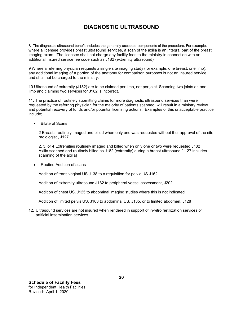8. The diagnostic ultrasound benefit includes the generally accepted components of the procedure. For example, where a licensee provides breast ultrasound services, a scan of the axilla is an integral part of the breast imaging exam. The licensee shall not charge any facility fees to the ministry in connection with an additional insured service fee code such as J182 (extremity ultrasound)

9 Where a referring physician requests a single site imaging study (for example, one breast, one limb), any additional imaging of a portion of the anatomy for comparison purposes is not an insured service and shall not be charged to the ministry.

10.Ultrasound of extremity (J182) are to be claimed per limb, not per joint. Scanning two joints on one limb and claiming two services for J182 is incorrect.

11. The practice of routinely submitting claims for more diagnostic ultrasound services than were requested by the referring physician for the majority of patients scanned, will result in a ministry review and potential recovery of funds and/or potential licensing actions. Examples of this unacceptable practice include;

Bilateral Scans

2 Breasts routinely imaged and billed when only one was requested without the approval of the site radiologist , J127

2, 3, or 4 Extremities routinely imaged and billed when only one or two were requested J182 Axilla scanned and routinely billed as J182 (extremity) during a breast ultrasound [J127 includes scanning of the axilla]

• Routine Addition of scans

Addition of trans vaginal US J138 to a requisition for pelvic US J162

Addition of extremity ultrasound J182 to peripheral vessel assessment, J202

Addition of chest US, J125 to abdominal imaging studies where this is not indicated

Addition of limited pelvis US, J163 to abdominal US, J135, or to limited abdomen, J128

12. Ultrasound services are not insured when rendered in support of in-vitro fertilization services or artificial insemination services.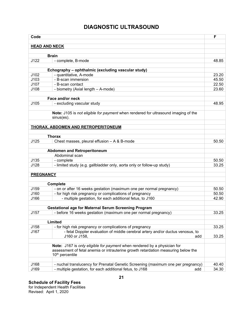| Code                 |                                                                                                        | F     |
|----------------------|--------------------------------------------------------------------------------------------------------|-------|
|                      |                                                                                                        |       |
| <b>HEAD AND NECK</b> |                                                                                                        |       |
|                      | <b>Brain</b>                                                                                           |       |
| J122                 | - complete, B-mode                                                                                     | 48.85 |
|                      |                                                                                                        |       |
|                      | Echography - ophthalmic (excluding vascular study)                                                     |       |
| J102                 | - quantitative, A-mode                                                                                 | 23.20 |
| J103                 | - B-scan immersion                                                                                     | 45.50 |
| J107                 | - B-scan contact                                                                                       | 22.50 |
| J108                 | - biometry (Axial length - A-mode)                                                                     | 23.60 |
|                      | Face and/or neck                                                                                       |       |
| J105                 | - excluding vascular study                                                                             | 48.95 |
|                      |                                                                                                        |       |
|                      | Note: J105 is not eligible for payment when rendered for ultrasound imaging of the<br>$sinus(es)$ .    |       |
|                      |                                                                                                        |       |
|                      | THORAX, ABDOMEN AND RETROPERITONEUM                                                                    |       |
|                      | <b>Thorax</b>                                                                                          |       |
| J125                 | Chest masses, pleural effusion - A & B-mode                                                            | 50.50 |
|                      |                                                                                                        |       |
|                      | <b>Abdomen and Retroperitoneum</b>                                                                     |       |
|                      | Abdominal scan                                                                                         |       |
| J135                 | - complete                                                                                             | 50.50 |
| J128                 | - limited study (e.g. gallbladder only, aorta only or follow-up study)                                 | 33.25 |
|                      |                                                                                                        |       |
| <b>PREGNANCY</b>     |                                                                                                        |       |
|                      | <b>Complete</b>                                                                                        |       |
| J159                 | - on or after 16 weeks gestation (maximum one per normal pregnancy)                                    | 50.50 |
| J160                 | - for high risk pregnancy or complications of pregnancy                                                | 50.50 |
| J166                 | - multiple gestation, for each additional fetus, to J160                                               | 42.90 |
|                      |                                                                                                        |       |
|                      | <b>Gestational age for Maternal Serum Screening Program</b>                                            |       |
| J157                 | - before 16 weeks gestation (maximum one per normal pregnancy)                                         | 33.25 |
|                      |                                                                                                        |       |
|                      | Limited                                                                                                |       |
| J158                 | - for high risk pregnancy or complications of pregnancy                                                | 33.25 |
| J167                 | - fetal Doppler evaluation of middle cerebral artery and/or ductus venosus, to<br>J160 or J158,<br>add | 33.25 |
|                      |                                                                                                        |       |
|                      | Note: J167 is only eligible for payment when rendered by a physician for                               |       |
|                      | assessment of fetal anemia or intrauterine growth retardation measuring below the                      |       |
|                      | 10 <sup>th</sup> percentile                                                                            |       |
|                      |                                                                                                        |       |
| J168                 | - nuchal translucency for Prenatal Genetic Screening (maximum one per pregnancy)                       | 40.40 |
| J169                 | - multiple gestation, for each additional fetus, to J168<br>add                                        | 34.30 |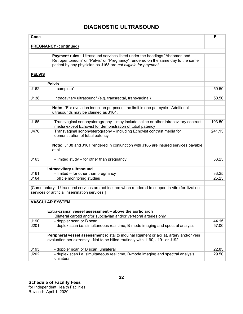| Code                   |                                                                                                                                                                                                                                 | F      |
|------------------------|---------------------------------------------------------------------------------------------------------------------------------------------------------------------------------------------------------------------------------|--------|
|                        | <b>PREGNANCY (continued)</b>                                                                                                                                                                                                    |        |
|                        |                                                                                                                                                                                                                                 |        |
|                        | Payment rules: Ultrasound services listed under the headings "Abdomen and<br>Retroperitoneum" or "Pelvis" or "Pregnancy" rendered on the same day to the same<br>patient by any physician as J168 are not eligible for payment. |        |
| <b>PELVIS</b>          |                                                                                                                                                                                                                                 |        |
|                        | <b>Pelvis</b>                                                                                                                                                                                                                   |        |
| J162                   | - complete*                                                                                                                                                                                                                     | 50.50  |
|                        |                                                                                                                                                                                                                                 |        |
| J138                   | Intracavitary ultrasound* (e.g. transrectal, transvaginal)                                                                                                                                                                      | 50.50  |
|                        | Note: *For ovulation induction purposes, the limit is one per cycle. Additional<br>ultrasounds may be claimed as J164.                                                                                                          |        |
| J165                   | Transvaginal sonohysterography - may include saline or other intracavitary contrast<br>media except Echovist for demonstration of tubal patency                                                                                 | 103.50 |
| J476                   | Transvaginal sonohysterography - including Echovist contrast media for<br>demonstration of tubal patency                                                                                                                        | 241.15 |
|                        | Note: J138 and J161 rendered in conjunction with J165 are insured services payable                                                                                                                                              |        |
|                        | at nil.                                                                                                                                                                                                                         |        |
| J163                   | - limited study - for other than pregnancy                                                                                                                                                                                      | 33.25  |
|                        | Intracavitary ultrasound                                                                                                                                                                                                        |        |
| J161                   | - limited - for other than pregnancy                                                                                                                                                                                            | 33.25  |
| J164                   | Follicle monitoring studies                                                                                                                                                                                                     | 25.25  |
|                        | [Commentary: Ultrasound services are not insured when rendered to support in-vitro fertilization<br>services or artificial insemination services.]                                                                              |        |
| <b>VASCULAR SYSTEM</b> |                                                                                                                                                                                                                                 |        |
|                        | Extra-cranial vessel assessment - above the aortic arch                                                                                                                                                                         |        |
|                        | Bilateral carotid and/or subclavian and/or vertebral arteries only                                                                                                                                                              |        |
| J190                   | - doppler scan or B scan                                                                                                                                                                                                        | 44.15  |
| J201                   | - duplex scan i.e. simultaneous real time, B-mode imaging and spectral analysis                                                                                                                                                 | 57.00  |
|                        | Peripheral vessel assessment (distal to inguinal ligament or axilla), artery and/or vein<br>evaluation per extremity. Not to be billed routinely with J190, J191 or J192.                                                       |        |
| J193                   | - doppler scan or B scan, unilateral                                                                                                                                                                                            | 22.85  |
| J202                   | - duplex scan i.e. simultaneous real time, B-mode imaging and spectral analysis,<br>unilateral                                                                                                                                  | 29.50  |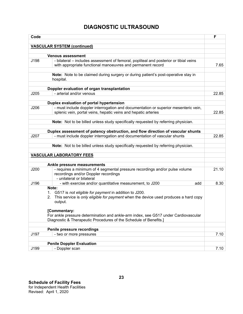| Code |                                                                                                                                                                              | F     |
|------|------------------------------------------------------------------------------------------------------------------------------------------------------------------------------|-------|
|      |                                                                                                                                                                              |       |
|      | <b>VASCULAR SYSTEM (continued)</b>                                                                                                                                           |       |
|      | <b>Venous assessment</b>                                                                                                                                                     |       |
| J198 | - bilateral – includes assessment of femoral, popliteal and posterior or tibial veins<br>with appropriate functional manoeuvres and permanent record                         | 7.65  |
|      | Note: Note to be claimed during surgery or during patient's post-operative stay in<br>hospital.                                                                              |       |
|      | Doppler evaluation of organ transplantation                                                                                                                                  |       |
| J205 | - arterial and/or venous                                                                                                                                                     | 22.85 |
|      |                                                                                                                                                                              |       |
|      | Duplex evaluation of portal hypertension                                                                                                                                     |       |
| J206 | - must include doppler interrogation and documentation or superior mesenteric vein,                                                                                          |       |
|      | splenic vein, portal veins, hepatic veins and hepatic arteries                                                                                                               | 22.85 |
|      |                                                                                                                                                                              |       |
|      | Note: Not to be billed unless study specifically requested by referring physician.                                                                                           |       |
|      | Duplex assessment of patency obstruction, and flow direction of vascular shunts                                                                                              |       |
| J207 | - must include doppler interrogation and documentation of vascular shunts                                                                                                    | 22.85 |
|      |                                                                                                                                                                              |       |
|      | Note: Not to be billed unless study specifically requested by referring physician.                                                                                           |       |
|      | <b>VASCULAR LABORATORY FEES</b>                                                                                                                                              |       |
|      |                                                                                                                                                                              |       |
|      | Ankle pressure measurements                                                                                                                                                  |       |
| J200 | - requires a minimum of 4 segmental pressure recordings and/or pulse volume<br>recordings and/or Doppler recordings<br>- unilateral or bilateral                             | 21.10 |
| J196 | - with exercise and/or quantitative measurement, to J200<br>add                                                                                                              | 8.30  |
|      | Note:<br>G517 is not eligible for payment in addition to J200.<br>1.<br>This service is only eligible for payment when the device used produces a hard copy<br>2.<br>output. |       |
|      | [Commentary:<br>For ankle pressure determination and ankle-arm index, see G517 under Cardiovascular<br>Diagnostic & Therapeutic Procedures of the Schedule of Benefits.]     |       |
|      | Penile pressure recordings                                                                                                                                                   |       |
| J197 | - two or more pressures                                                                                                                                                      | 7.10  |
|      |                                                                                                                                                                              |       |
|      | <b>Penile Doppler Evaluation</b>                                                                                                                                             |       |
| J199 | - Doppler scan                                                                                                                                                               | 7.10  |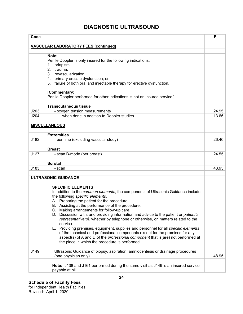| Code                                                                                                                                                                                                                                                                                                                                                                                                                                                                                                                                                                                                                                                                                                                                                                                                          | F     |
|---------------------------------------------------------------------------------------------------------------------------------------------------------------------------------------------------------------------------------------------------------------------------------------------------------------------------------------------------------------------------------------------------------------------------------------------------------------------------------------------------------------------------------------------------------------------------------------------------------------------------------------------------------------------------------------------------------------------------------------------------------------------------------------------------------------|-------|
|                                                                                                                                                                                                                                                                                                                                                                                                                                                                                                                                                                                                                                                                                                                                                                                                               |       |
| <b>VASCULAR LABORATORY FEES (continued)</b>                                                                                                                                                                                                                                                                                                                                                                                                                                                                                                                                                                                                                                                                                                                                                                   |       |
| Note:<br>Penile Doppler is only insured for the following indications:<br>priapism;<br>1.<br>2. trauma;<br>3. revascularization;<br>4. primary erectile dysfunction; or<br>5. failure of both oral and injectable therapy for erective dysfunction.                                                                                                                                                                                                                                                                                                                                                                                                                                                                                                                                                           |       |
| [Commentary:<br>Penile Doppler performed for other indications is not an insured service.]                                                                                                                                                                                                                                                                                                                                                                                                                                                                                                                                                                                                                                                                                                                    |       |
| <b>Transcutaneous tissue</b>                                                                                                                                                                                                                                                                                                                                                                                                                                                                                                                                                                                                                                                                                                                                                                                  |       |
| J203<br>- oxygen tension measurements                                                                                                                                                                                                                                                                                                                                                                                                                                                                                                                                                                                                                                                                                                                                                                         | 24.95 |
| J204<br>- when done in addition to Doppler studies                                                                                                                                                                                                                                                                                                                                                                                                                                                                                                                                                                                                                                                                                                                                                            | 13.65 |
| <b>MISCELLANEOUS</b>                                                                                                                                                                                                                                                                                                                                                                                                                                                                                                                                                                                                                                                                                                                                                                                          |       |
| <b>Extremities</b>                                                                                                                                                                                                                                                                                                                                                                                                                                                                                                                                                                                                                                                                                                                                                                                            |       |
| J182<br>- per limb (excluding vascular study)                                                                                                                                                                                                                                                                                                                                                                                                                                                                                                                                                                                                                                                                                                                                                                 | 26.40 |
| <b>Breast</b>                                                                                                                                                                                                                                                                                                                                                                                                                                                                                                                                                                                                                                                                                                                                                                                                 |       |
| J127<br>- scan B-mode (per breast)                                                                                                                                                                                                                                                                                                                                                                                                                                                                                                                                                                                                                                                                                                                                                                            | 24.55 |
| <b>Scrotal</b>                                                                                                                                                                                                                                                                                                                                                                                                                                                                                                                                                                                                                                                                                                                                                                                                |       |
| J183<br>- scan                                                                                                                                                                                                                                                                                                                                                                                                                                                                                                                                                                                                                                                                                                                                                                                                | 48.95 |
|                                                                                                                                                                                                                                                                                                                                                                                                                                                                                                                                                                                                                                                                                                                                                                                                               |       |
| ULTRASONIC GUIDANCE                                                                                                                                                                                                                                                                                                                                                                                                                                                                                                                                                                                                                                                                                                                                                                                           |       |
| <b>SPECIFIC ELEMENTS</b><br>In addition to the common elements, the components of Ultrasonic Guidance include<br>the following specific elements.<br>A. Preparing the patient for the procedure.<br>B. Assisting at the performance of the procedure.<br>C. Making arrangements for follow-up care.<br>D. Discussion with, and providing information and advice to the patient or patient's<br>representative(s), whether by telephone or otherwise, on matters related to the<br>service.<br>E. Providing premises, equipment, supplies and personnel for all specific elements<br>of the technical and professional components except for the premises for any<br>aspect(s) of A and D of the <i>professional component</i> that is(are) not performed at<br>the place in which the procedure is performed. |       |
| J149<br>Ultrasonic Guidance of biopsy, aspiration, amniocentesis or drainage procedures                                                                                                                                                                                                                                                                                                                                                                                                                                                                                                                                                                                                                                                                                                                       |       |
| (one physician only)                                                                                                                                                                                                                                                                                                                                                                                                                                                                                                                                                                                                                                                                                                                                                                                          | 48.95 |
| Note: J138 and J161 performed during the same visit as J149 is an insured service<br>payable at nil.                                                                                                                                                                                                                                                                                                                                                                                                                                                                                                                                                                                                                                                                                                          |       |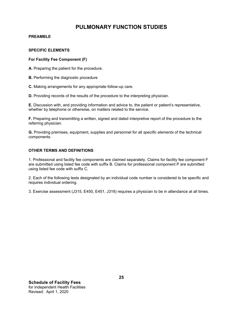## **PULMONARY FUNCTION STUDIES**

#### **PREAMBLE**

#### **SPECIFIC ELEMENTS**

#### **For Facility Fee Component (F)**

**A.** Preparing the patient for the procedure.

**B.** Performing the diagnostic procedure

**C.** Making arrangements for any appropriate follow-up care.

**D.** Providing records of the results of the procedure to the interpreting physician.

**E.** Discussion with, and providing information and advice to, the patient or patient's representative, whether by telephone or otherwise, on matters related to the service.

**F.** Preparing and transmitting a written, signed and dated interpretive report of the procedure to the referring physician.

**G.** Providing premises, equipment, supplies and personnel for all *specific elements* of the technical components.

#### **OTHER TERMS AND DEFINITIONS**

1. Professional and facility fee components are claimed separately. Claims for facility fee component F are submitted using listed fee code with suffix B. Claims for professional component P are submitted using listed fee code with suffix C.

2. Each of the following tests designated by an individual code number is considered to be specific and requires individual ordering.

3. Exercise assessment (J315, E450, E451, J316) requires a physician to be in attendance at all times.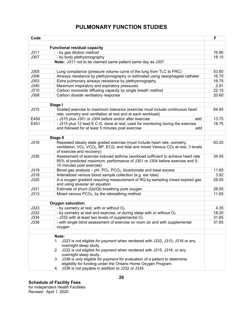## **PULMONARY FUNCTION STUDIES**

| Code |                                                                                                                                              | F     |  |
|------|----------------------------------------------------------------------------------------------------------------------------------------------|-------|--|
|      |                                                                                                                                              |       |  |
|      | <b>Functional residual capacity</b>                                                                                                          |       |  |
| J311 | - by gas dilution method                                                                                                                     | 16.90 |  |
| J307 | - by body plethysmography                                                                                                                    | 18.10 |  |
|      | Note: J311 not to be claimed same patient same day as J307.                                                                                  |       |  |
| J305 | Lung compliance (pressure volume curve of the lung from TLC to FRC)                                                                          | 53.80 |  |
| J306 | Airways resistance by plethysmography or estimated using oesophageal catheter                                                                | 16.75 |  |
| J303 | Extra pulmonary airways resistance by plethysmography                                                                                        | 16.75 |  |
| J340 | Maximum inspiratory and expiratory pressures                                                                                                 | 2.91  |  |
| J310 | Carbon monoxide diffusing capacity by single breath method                                                                                   | 22.15 |  |
| J308 | Carbon dioxide ventilatory response                                                                                                          | 20.60 |  |
|      |                                                                                                                                              |       |  |
|      | Stage I                                                                                                                                      |       |  |
| J315 | Graded exercise to maximum tolerance (exercise must include continuous heart                                                                 | 64.65 |  |
|      | rate, oximetry and ventilation at rest and at each workload)                                                                                 |       |  |
| E450 | - J315 plus J301 or J304 before and/or after exercise<br>add                                                                                 | 13.75 |  |
| E451 | - J315 plus 12 lead E.C.G. done at rest, used for monitoring during the exercise<br>and followed for at least 5 minutes post exercise<br>add | 18.75 |  |
|      |                                                                                                                                              |       |  |
|      | <b>Stage II</b>                                                                                                                              |       |  |
| J316 | Repeated steady state graded exercise (must include heart rate, oximetry,                                                                    | 93.20 |  |
|      | ventilation, VO <sub>2</sub> , VCO <sub>2</sub> , BP, ECG, end tidal and mixed Venous CO <sub>2</sub> at rest, 3 levels                      |       |  |
|      | of exercise and recovery)                                                                                                                    |       |  |
| J330 | Assessment of exercise induced asthma (workload sufficient to achieve heart rate                                                             | 34.55 |  |
|      | 85% of predicted maximum; performance of J301 or J304 before exercise and 5-                                                                 |       |  |
|      | 10 minutes post exercise)                                                                                                                    |       |  |
| J319 | Blood gas analysis $-$ pH, PO <sub>2</sub> , PCO <sub>2</sub> , bicarbonate and base excess                                                  | 11.65 |  |
| J318 | Arterialized venous blood sample collection (e.g. ear lobe)                                                                                  | 3.92  |  |
| J320 | A-a oxygen gradient requiring measurement of RQ by sampling mixed expired gas<br>and using alveolar air equation                             | 28.55 |  |
| J331 | Estimate of shunt (Qs/Qt) breathing pure oxygen                                                                                              | 28.55 |  |
| J313 | Mixed venous PCO <sub>2</sub> , by the rebreathing method                                                                                    | 11.65 |  |
|      |                                                                                                                                              |       |  |
|      | <b>Oxygen saturation</b>                                                                                                                     |       |  |
| J323 | - by oximetry at rest, with or without $O2$                                                                                                  | 4.35  |  |
| J332 | - by oximetry at rest and exercise, or during sleep with or without O <sub>2</sub>                                                           | 18.20 |  |
| J334 | - J332 with at least two levels of supplemental O <sub>2</sub>                                                                               | 31.65 |  |
| J336 | - with single blind assessment of exercise on room air and with supplemental                                                                 | 31.65 |  |
|      | oxygen                                                                                                                                       |       |  |
|      | Note:                                                                                                                                        |       |  |
|      |                                                                                                                                              |       |  |
|      | J323 is not eligible for payment when rendered with J332, J315, J316 or any<br>1.                                                            |       |  |
|      | overnight sleep study.                                                                                                                       |       |  |
|      | 2. J332 is not eligible for payment when rendered with J315, J316, or any                                                                    |       |  |
|      | overnight sleep study.                                                                                                                       |       |  |
|      | 3. J336 is only eligible for payment for evaluation of a patient to determine                                                                |       |  |
|      | eligibility for funding under the Ontario Home Oxygen Program.                                                                               |       |  |
|      | 4. J336 is not payable in addition to J332 or J334.                                                                                          |       |  |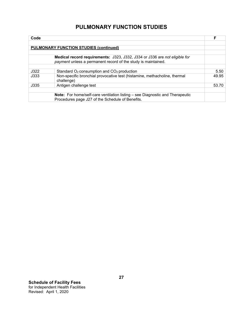| Code |                                                                                         | F     |
|------|-----------------------------------------------------------------------------------------|-------|
|      |                                                                                         |       |
|      | <b>PULMONARY FUNCTION STUDIES (continued)</b>                                           |       |
|      |                                                                                         |       |
|      | Medical record requirements: J323, J332, J334 or J336 are not eligible for              |       |
|      | payment unless a permanent record of the study is maintained.                           |       |
|      |                                                                                         |       |
| J322 | Standard O <sub>2</sub> consumption and CO <sub>2</sub> production                      | 5.50  |
| J333 | Non-specific bronchial provocative test (histamine, methacholine, thermal<br>challenge) | 49.95 |
| J335 | Antigen challenge test                                                                  | 53.70 |
|      |                                                                                         |       |
|      | <b>Note:</b> For home/self-care ventilation listing – see Diagnostic and Therapeutic    |       |
|      | Procedures page J27 of the Schedule of Benefits.                                        |       |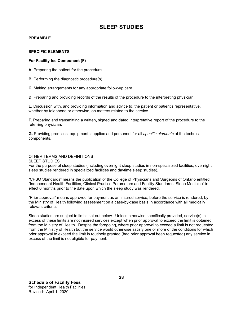#### **PREAMBLE**

#### **SPECIFIC ELEMENTS**

#### **For Facility fee Component (F)**

**A.** Preparing the patient for the procedure.

**B.** Performing the diagnostic procedure(s).

**C.** Making arrangements for any appropriate follow-up care.

**D.** Preparing and providing records of the results of the procedure to the interpreting physician.

**E.** Discussion with, and providing information and advice to, the patient or patient's representative, whether by telephone or otherwise, on matters related to the service.

**F.** Preparing and transmitting a written, signed and dated interpretative report of the procedure to the referring physician.

**G.** Providing premises, equipment, supplies and personnel for all *specific elements* of the technical components.

## OTHER TERMS AND DEFINITIONS

SLEEP STUDIES

For the purpose of sleep studies (including overnight sleep studies in non-specialized facilities, overnight sleep studies rendered in specialized facilities and daytime sleep studies),

"CPSO Standards" means the publication of the College of Physicians and Surgeons of Ontario entitled "Independent Health Facilities, Clinical Practice Parameters and Facility Standards, Sleep Medicine" in effect 6 months prior to the date upon which the sleep study was rendered.

"Prior approval" means approved for payment as an insured service, before the service is rendered, by the Ministry of Health following assessment on a case-by-case basis in accordance with all medically relevant criteria.

Sleep studies are subject to limits set out below. Unless otherwise specifically provided, service(s) in excess of these limits are not insured services except when prior approval to exceed the limit is obtained from the Ministry of Health. Despite the foregoing, where prior approval to exceed a limit is not requested from the Ministry of Health but the service would otherwise satisfy one or more of the conditions for which prior approval to exceed the limit is routinely granted (had prior approval been requested) any service in excess of the limit is not eligible for payment.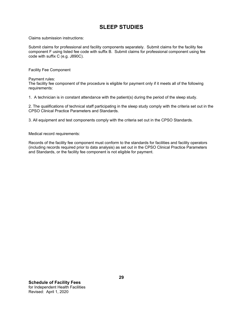Claims submission instructions:

Submit claims for professional and facility components separately. Submit claims for the facility fee component F using listed fee code with suffix B. Submit claims for professional component using fee code with suffix C (e.g. J890C).

Facility Fee Component

Payment rules:

 The facility fee component of the procedure is eligible for payment only if it meets all of the following requirements:

1. A technician is in constant attendance with the patient(s) during the period of the sleep study.

2. The qualifications of technical staff participating in the sleep study comply with the criteria set out in the CPSO Clinical Practice Parameters and Standards.

3. All equipment and test components comply with the criteria set out in the CPSO Standards.

Medical record requirements:

Records of the facility fee component must conform to the standards for facilities and facility operators (including records required prior to data analysis) as set out in the CPSO Clinical Practice Parameters and Standards, or the facility fee component is not eligible for payment.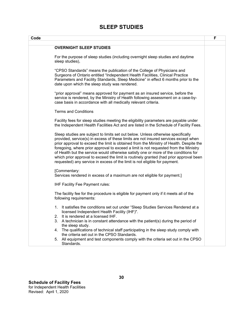| Code                                                                                                                                                                                                                                                                                                                                                                                                                                                                                                                                                                                                                      | F |
|---------------------------------------------------------------------------------------------------------------------------------------------------------------------------------------------------------------------------------------------------------------------------------------------------------------------------------------------------------------------------------------------------------------------------------------------------------------------------------------------------------------------------------------------------------------------------------------------------------------------------|---|
|                                                                                                                                                                                                                                                                                                                                                                                                                                                                                                                                                                                                                           |   |
| <b>OVERNIGHT SLEEP STUDIES</b>                                                                                                                                                                                                                                                                                                                                                                                                                                                                                                                                                                                            |   |
| For the purpose of sleep studies (including overnight sleep studies and daytime<br>sleep studies),                                                                                                                                                                                                                                                                                                                                                                                                                                                                                                                        |   |
| "CPSO Standards" means the publication of the College of Physicians and<br>Surgeons of Ontario entitled "Independent Health Facilities, Clinical Practice<br>Parameters and Facility Standards, Sleep Medicine" in effect 6 months prior to the<br>date upon which the sleep study was rendered.                                                                                                                                                                                                                                                                                                                          |   |
| "prior approval" means approved for payment as an insured service, before the<br>service is rendered, by the Ministry of Health following assessment on a case-by-<br>case basis in accordance with all medically relevant criteria.                                                                                                                                                                                                                                                                                                                                                                                      |   |
| <b>Terms and Conditions</b>                                                                                                                                                                                                                                                                                                                                                                                                                                                                                                                                                                                               |   |
| Facility fees for sleep studies meeting the eligibility parameters are payable under<br>the Independent Health Facilities Act and are listed in the Schedule of Facility Fees.                                                                                                                                                                                                                                                                                                                                                                                                                                            |   |
| Sleep studies are subject to limits set out below. Unless otherwise specifically<br>provided, service(s) in excess of these limits are not insured services except when<br>prior approval to exceed the limit is obtained from the Ministry of Health. Despite the<br>foregoing, where prior approval to exceed a limit is not requested from the Ministry<br>of Health but the service would otherwise satisfy one or more of the conditions for<br>which prior approval to exceed the limit is routinely granted (had prior approval been<br>requested) any service in excess of the limit is not eligible for payment. |   |
| [Commentary:<br>Services rendered in excess of a maximum are not eligible for payment.]                                                                                                                                                                                                                                                                                                                                                                                                                                                                                                                                   |   |
| IHF Facility Fee Payment rules:                                                                                                                                                                                                                                                                                                                                                                                                                                                                                                                                                                                           |   |
| The facility fee for the procedure is eligible for payment only if it meets all of the<br>following requirements:                                                                                                                                                                                                                                                                                                                                                                                                                                                                                                         |   |
| 1. It satisfies the conditions set out under "Sleep Studies Services Rendered at a<br>licensed Independent Health Facility (IHF)".<br>It is rendered at a licensed IHF.<br>2.                                                                                                                                                                                                                                                                                                                                                                                                                                             |   |
| A technician is in constant attendance with the patient(s) during the period of<br>3.<br>the sleep study.                                                                                                                                                                                                                                                                                                                                                                                                                                                                                                                 |   |
| The qualifications of technical staff participating in the sleep study comply with<br>4.<br>the criteria set out in the CPSO Standards.                                                                                                                                                                                                                                                                                                                                                                                                                                                                                   |   |
| 5. All equipment and test components comply with the criteria set out in the CPSO<br>Standards.                                                                                                                                                                                                                                                                                                                                                                                                                                                                                                                           |   |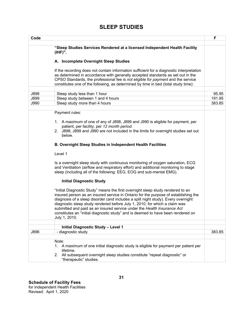| Code |                                                                                          | F      |
|------|------------------------------------------------------------------------------------------|--------|
|      |                                                                                          |        |
|      | "Sleep Studies Services Rendered at a licensed Independent Health Facility               |        |
|      | $(IHF)$ ".                                                                               |        |
|      | A. Incomplete Overnight Sleep Studies                                                    |        |
|      |                                                                                          |        |
|      | If the recording does not contain information sufficient for a diagnostic interpretation |        |
|      | as determined in accordance with generally accepted standards as set out in the          |        |
|      | CPSO Standards, the professional fee is not eligible for payment and the service         |        |
|      | constitutes one of the following, as determined by time in bed (total study time):       |        |
|      |                                                                                          |        |
| J898 | Sleep study less than 1 hour                                                             | 95.95  |
| J899 | Sleep study between 1 and 4 hours                                                        | 191.95 |
| J990 | Sleep study more than 4 hours                                                            | 383.85 |
|      |                                                                                          |        |
|      | Payment rules:                                                                           |        |
|      | 1. A maximum of one of any of J898, J899 and J990 is eligible for payment, per           |        |
|      | patient, per facility, per 12 month period.                                              |        |
|      | J898, J899 and J990 are not included in the limits for overnight studies set out<br>2.   |        |
|      | below.                                                                                   |        |
|      |                                                                                          |        |
|      | <b>B. Overnight Sleep Studies in Independent Health Facilities</b>                       |        |
|      | Level 1                                                                                  |        |
|      |                                                                                          |        |
|      | Is a overnight sleep study with continuous monitoring of oxygen saturation, ECG          |        |
|      | and Ventilation (airflow and respiratory effort) and additional monitoring to stage      |        |
|      | sleep (including all of the following: EEG, EOG and sub-mental EMG).                     |        |
|      |                                                                                          |        |
|      | <b>Initial Diagnostic Study</b>                                                          |        |
|      | "Initial Diagnostic Study" means the first overnight sleep study rendered to an          |        |
|      | insured person as an insured service in Ontario for the purpose of establishing the      |        |
|      | diagnosis of a sleep disorder (and includes a split night study). Every overnight        |        |
|      | diagnostic sleep study rendered before July 1, 2010, for which a claim was               |        |
|      | submitted and paid as an insured service under the Health Insurance Act                  |        |
|      | constitutes an "initial diagnostic study" and is deemed to have been rendered on         |        |
|      | July 1, 2010.                                                                            |        |
|      |                                                                                          |        |
|      | <b>Initial Diagnostic Study - Level 1</b>                                                |        |
| J896 | - diagnostic study                                                                       | 383.85 |
|      | Note:                                                                                    |        |
|      | 1. A maximum of one initial diagnostic study is eligible for payment per patient per     |        |
|      | lifetime.                                                                                |        |
|      | All subsequent overnight sleep studies constitute "repeat diagnostic" or<br>2.           |        |
|      | "therapeutic" studies.                                                                   |        |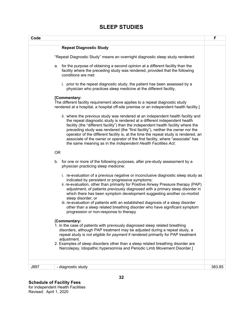| Code      |                                                                                                                                                                                                                                                                                                                                                                                                                                                                                                                                                                                                                         | F      |
|-----------|-------------------------------------------------------------------------------------------------------------------------------------------------------------------------------------------------------------------------------------------------------------------------------------------------------------------------------------------------------------------------------------------------------------------------------------------------------------------------------------------------------------------------------------------------------------------------------------------------------------------------|--------|
|           |                                                                                                                                                                                                                                                                                                                                                                                                                                                                                                                                                                                                                         |        |
|           | <b>Repeat Diagnostic Study</b>                                                                                                                                                                                                                                                                                                                                                                                                                                                                                                                                                                                          |        |
|           | "Repeat Diagnostic Study" means an overnight diagnostic sleep study rendered:                                                                                                                                                                                                                                                                                                                                                                                                                                                                                                                                           |        |
| а.        | for the purpose of obtaining a second opinion at a different facility than the<br>facility where the preceding study was rendered, provided that the following<br>conditions are met:                                                                                                                                                                                                                                                                                                                                                                                                                                   |        |
|           | i. prior to the repeat diagnostic study, the patient has been assessed by a<br>physician who practices sleep medicine at the different facility,                                                                                                                                                                                                                                                                                                                                                                                                                                                                        |        |
|           | [Commentary:                                                                                                                                                                                                                                                                                                                                                                                                                                                                                                                                                                                                            |        |
|           | The different facility requirement above applies to a repeat diagnostic study<br>rendered at a hospital, a hospital off-site premise or an independent health facility.]                                                                                                                                                                                                                                                                                                                                                                                                                                                |        |
|           | ii. where the previous study was rendered at an independent health facility and<br>the repeat diagnostic study is rendered at a different independent health<br>facility (the "different facility") than the independent health facility where the<br>preceding study was rendered (the "first facility"), neither the owner nor the<br>operator of the different facility is, at the time the repeat study is rendered, an<br>associate of the owner or operator of the first facility, where "associate" has<br>the same meaning as in the Independent Health Facilities Act;                                         |        |
| <b>OR</b> |                                                                                                                                                                                                                                                                                                                                                                                                                                                                                                                                                                                                                         |        |
|           | b. for one or more of the following purposes, after pre-study assessment by a<br>physician practicing sleep medicine:                                                                                                                                                                                                                                                                                                                                                                                                                                                                                                   |        |
|           | i. re-evaluation of a previous negative or inconclusive diagnostic sleep study as<br>indicated by persistent or progressive symptoms;<br>ii. re-evaluation, other than primarily for Positive Airway Pressure therapy (PAP)<br>adjustment, of patients previously diagnosed with a primary sleep disorder in<br>which there has been symptom development suggesting another co-morbid<br>sleep disorder; or<br>iii. re-evaluation of patients with an established diagnosis of a sleep disorder<br>other than a sleep related breathing disorder who have significant symptom<br>progression or non-response to therapy |        |
|           | [Commentary:<br>1. In the case of patients with previously diagnosed sleep related breathing                                                                                                                                                                                                                                                                                                                                                                                                                                                                                                                            |        |
|           | disorders, although PAP treatment may be adjusted during a repeat study, a<br>repeat study is not eligible for payment if rendered primarily for PAP treatment<br>adjustment.                                                                                                                                                                                                                                                                                                                                                                                                                                           |        |
|           | 2. Examples of sleep disorders other than a sleep related breathing disorder are<br>Narcolepsy, Idiopathic hypersomnia and Periodic Limb Movement Disorder.]                                                                                                                                                                                                                                                                                                                                                                                                                                                            |        |
|           |                                                                                                                                                                                                                                                                                                                                                                                                                                                                                                                                                                                                                         |        |
| J897      | - diagnostic study                                                                                                                                                                                                                                                                                                                                                                                                                                                                                                                                                                                                      | 383.85 |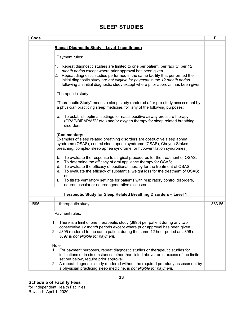| Code                                                                                                                                                                                                                                                                                                                                                                                                                                                                                                                                                                                                                                                                                                                                                                                                                                                                                                                                                                                                                                              | F      |
|---------------------------------------------------------------------------------------------------------------------------------------------------------------------------------------------------------------------------------------------------------------------------------------------------------------------------------------------------------------------------------------------------------------------------------------------------------------------------------------------------------------------------------------------------------------------------------------------------------------------------------------------------------------------------------------------------------------------------------------------------------------------------------------------------------------------------------------------------------------------------------------------------------------------------------------------------------------------------------------------------------------------------------------------------|--------|
|                                                                                                                                                                                                                                                                                                                                                                                                                                                                                                                                                                                                                                                                                                                                                                                                                                                                                                                                                                                                                                                   |        |
| Repeat Diagnostic Study - Level 1 (continued)                                                                                                                                                                                                                                                                                                                                                                                                                                                                                                                                                                                                                                                                                                                                                                                                                                                                                                                                                                                                     |        |
| Payment rules:<br>$\vert 1 \vert$<br>Repeat diagnostic studies are limited to one per patient, per facility, per 12<br>month period except where prior approval has been given.<br>2. Repeat diagnostic studies performed in the same facility that performed the<br>initial diagnostic study are not eligible for payment in the 12 month period<br>following an initial diagnostic study except where prior approval has been given.<br>Therapeutic study<br>"Therapeutic Study" means a sleep study rendered after pre-study assessment by<br>a physician practicing sleep medicine, for any of the following purposes:<br>a. To establish optimal settings for nasal positive airway pressure therapy<br>(CPAP/BiPAP/ASV etc.) and/or oxygen therapy for sleep related breathing<br>disorders;<br>[Commentary:<br>Examples of sleep related breathing disorders are obstructive sleep apnea<br>syndrome (OSAS), central sleep apnea syndrome (CSAS), Cheyne-Stokes<br>breathing, complex sleep apnea syndrome, or hypoventilation syndromes.] |        |
| To evaluate the response to surgical procedures for the treatment of OSAS;<br>b.<br>To determine the efficacy of oral appliance therapy for OSAS;<br>C.<br>To evaluate the efficacy of positional therapy for the treatment of OSAS;<br>d.<br>To evaluate the efficacy of substantial weight loss for the treatment of OSAS;<br>e.<br>or<br>f.<br>To titrate ventilatory settings for patients with respiratory control disorders,<br>neuromuscular or neurodegenerative diseases.                                                                                                                                                                                                                                                                                                                                                                                                                                                                                                                                                                |        |
|                                                                                                                                                                                                                                                                                                                                                                                                                                                                                                                                                                                                                                                                                                                                                                                                                                                                                                                                                                                                                                                   |        |
| Therapeutic Study for Sleep Related Breathing Disorders - Level 1                                                                                                                                                                                                                                                                                                                                                                                                                                                                                                                                                                                                                                                                                                                                                                                                                                                                                                                                                                                 |        |
| - therapeutic study<br>J895                                                                                                                                                                                                                                                                                                                                                                                                                                                                                                                                                                                                                                                                                                                                                                                                                                                                                                                                                                                                                       | 383.85 |
| Payment rules:<br>1. There is a limit of one therapeutic study (J895) per patient during any two<br>consecutive 12 month periods except where prior approval has been given.<br>J895 rendered to the same patient during the same 12 hour period as J896 or<br>2.<br>J897 is not eligible for payment.                                                                                                                                                                                                                                                                                                                                                                                                                                                                                                                                                                                                                                                                                                                                            |        |
| Note:<br>1. For payment purposes, repeat diagnostic studies or therapeutic studies for<br>indications or in circumstances other than listed above, or in excess of the limits<br>set out below, require prior approval.<br>2. A repeat diagnostic study rendered without the required pre-study assessment by<br>a physician practicing sleep medicine, is not eligible for payment.                                                                                                                                                                                                                                                                                                                                                                                                                                                                                                                                                                                                                                                              |        |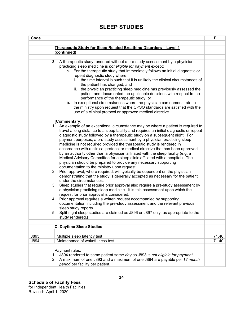| Code                                                                                                                                                                                                                                                                                                                                                                                                                                                                                                                                                                                                                                                                                                                                                                                                                                                                                                                                                                                                                                                                                                                                                                                                                                                                                                                                                                                                                                                                                                             | F              |
|------------------------------------------------------------------------------------------------------------------------------------------------------------------------------------------------------------------------------------------------------------------------------------------------------------------------------------------------------------------------------------------------------------------------------------------------------------------------------------------------------------------------------------------------------------------------------------------------------------------------------------------------------------------------------------------------------------------------------------------------------------------------------------------------------------------------------------------------------------------------------------------------------------------------------------------------------------------------------------------------------------------------------------------------------------------------------------------------------------------------------------------------------------------------------------------------------------------------------------------------------------------------------------------------------------------------------------------------------------------------------------------------------------------------------------------------------------------------------------------------------------------|----------------|
| Therapeutic Study for Sleep Related Breathing Disorders - Level 1                                                                                                                                                                                                                                                                                                                                                                                                                                                                                                                                                                                                                                                                                                                                                                                                                                                                                                                                                                                                                                                                                                                                                                                                                                                                                                                                                                                                                                                |                |
| (continued)                                                                                                                                                                                                                                                                                                                                                                                                                                                                                                                                                                                                                                                                                                                                                                                                                                                                                                                                                                                                                                                                                                                                                                                                                                                                                                                                                                                                                                                                                                      |                |
|                                                                                                                                                                                                                                                                                                                                                                                                                                                                                                                                                                                                                                                                                                                                                                                                                                                                                                                                                                                                                                                                                                                                                                                                                                                                                                                                                                                                                                                                                                                  |                |
| 3. A therapeutic study rendered without a pre-study assessment by a physician<br>practicing sleep medicine is not eligible for payment except:<br>a. For the therapeutic study that immediately follows an initial diagnostic or<br>repeat diagnostic study where:<br>the time interval is such that it is unlikely the clinical circumstances of<br>i.<br>the patient has changed; and<br>ii. the physician practicing sleep medicine has previously assessed the<br>patient and documented the applicable decisions with respect to the<br>performance of the therapeutic study; or<br><b>b.</b> In exceptional circumstances where the physician can demonstrate to<br>the ministry upon request that the CPSO standards are satisfied with the<br>use of a clinical protocol or approved medical directive.                                                                                                                                                                                                                                                                                                                                                                                                                                                                                                                                                                                                                                                                                                  |                |
| [Commentary:                                                                                                                                                                                                                                                                                                                                                                                                                                                                                                                                                                                                                                                                                                                                                                                                                                                                                                                                                                                                                                                                                                                                                                                                                                                                                                                                                                                                                                                                                                     |                |
| 1. An example of an exceptional circumstance may be where a patient is required to<br>travel a long distance to a sleep facility and requires an initial diagnostic or repeat<br>diagnostic study followed by a therapeutic study on a subsequent night. For<br>payment purposes, a pre-study assessment by a physician practicing sleep<br>medicine is not required provided the therapeutic study is rendered in<br>accordance with a clinical protocol or medical directive that has been approved<br>by an authority other than a physician affiliated with the sleep facility (e.g. a<br>Medical Advisory Committee for a sleep clinic affiliated with a hospital). The<br>physician should be prepared to provide any necessary supporting<br>documentation to the ministry upon request.<br>2. Prior approval, where required, will typically be dependent on the physician<br>demonstrating that the study is generally accepted as necessary for the patient<br>under the circumstances.<br>3. Sleep studies that require prior approval also require a pre-study assessment by<br>a physician practicing sleep medicine. It is this assessment upon which the<br>request for prior approval is considered.<br>4. Prior approval requires a written request accompanied by supporting<br>documentation including the pre-study assessment and the relevant previous<br>sleep study reports.<br>5. Split-night sleep studies are claimed as J896 or J897 only, as appropriate to the<br>study rendered.] |                |
| <b>C. Daytime Sleep Studies</b>                                                                                                                                                                                                                                                                                                                                                                                                                                                                                                                                                                                                                                                                                                                                                                                                                                                                                                                                                                                                                                                                                                                                                                                                                                                                                                                                                                                                                                                                                  |                |
|                                                                                                                                                                                                                                                                                                                                                                                                                                                                                                                                                                                                                                                                                                                                                                                                                                                                                                                                                                                                                                                                                                                                                                                                                                                                                                                                                                                                                                                                                                                  |                |
| J893<br>Multiple sleep latency test<br>Maintenance of wakefulness test<br>J894                                                                                                                                                                                                                                                                                                                                                                                                                                                                                                                                                                                                                                                                                                                                                                                                                                                                                                                                                                                                                                                                                                                                                                                                                                                                                                                                                                                                                                   | 71.40<br>71.40 |
| Payment rules:<br>1. J894 rendered to same patient same day as J893 is not eligible for payment.<br>2. A maximum of one J893 and a maximum of one J894 are payable per 12 month<br>period per facility per patient.                                                                                                                                                                                                                                                                                                                                                                                                                                                                                                                                                                                                                                                                                                                                                                                                                                                                                                                                                                                                                                                                                                                                                                                                                                                                                              |                |